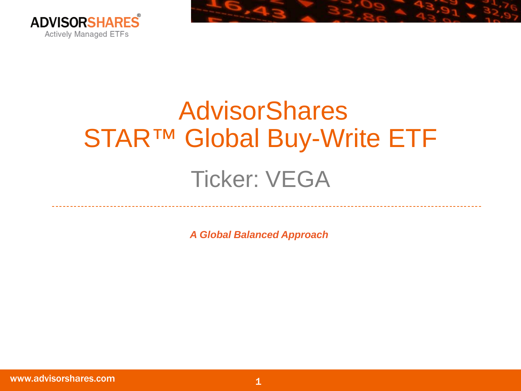

# AdvisorShares STAR™ Global Buy-Write ETF Ticker: VEGA

*A Global Balanced Approach*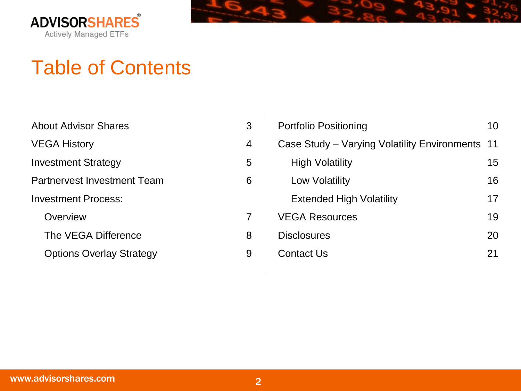



#### Table of Contents

| <b>About Advisor Shares</b>     |   |
|---------------------------------|---|
| <b>VEGA History</b>             |   |
| <b>Investment Strategy</b>      | 5 |
| Partnervest Investment Team     | 6 |
| <b>Investment Process:</b>      |   |
| Overview                        |   |
| The VEGA Difference             | 8 |
| <b>Options Overlay Strategy</b> |   |

| Portfolio Positioning                        | 10 |
|----------------------------------------------|----|
| Case Study – Varying Volatility Environments | 11 |
| High Volatility                              | 15 |
| Low Volatility                               | 16 |
| <b>Extended High Volatility</b>              | 17 |
| <b>VEGA Resources</b>                        | 19 |
| <b>Disclosures</b>                           | 20 |
| Contact Us                                   | 21 |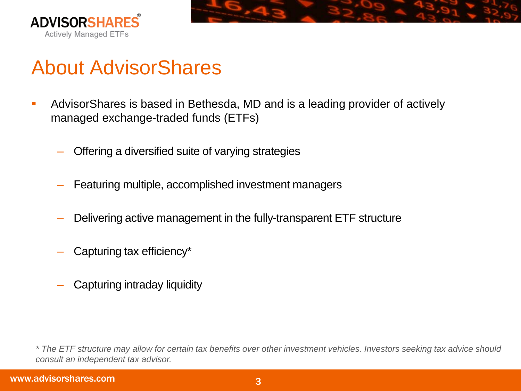



### About AdvisorShares

- AdvisorShares is based in Bethesda, MD and is a leading provider of actively managed exchange-traded funds (ETFs)
	- Offering a diversified suite of varying strategies
	- ‒ Featuring multiple, accomplished investment managers
	- Delivering active management in the fully-transparent ETF structure
	- Capturing tax efficiency\*
	- ‒ Capturing intraday liquidity

*<sup>\*</sup> The ETF structure may allow for certain tax benefits over other investment vehicles. Investors seeking tax advice should consult an independent tax advisor.*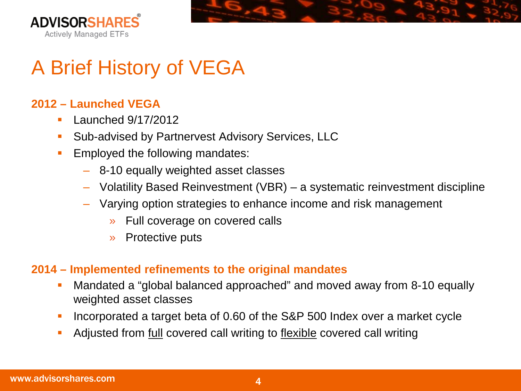



## A Brief History of VEGA

#### **2012 – Launched VEGA**

- $\blacksquare$  Launched 9/17/2012
- **Sub-advised by Partnervest Advisory Services, LLC**
- **Employed the following mandates:** 
	- ‒ 8-10 equally weighted asset classes
	- ‒ Volatility Based Reinvestment (VBR) a systematic reinvestment discipline
	- ‒ Varying option strategies to enhance income and risk management
		- » Full coverage on covered calls
		- » Protective puts

#### **2014 – Implemented refinements to the original mandates**

- Mandated a "global balanced approached" and moved away from 8-10 equally weighted asset classes
- Incorporated a target beta of 0.60 of the S&P 500 Index over a market cycle
- Adjusted from full covered call writing to flexible covered call writing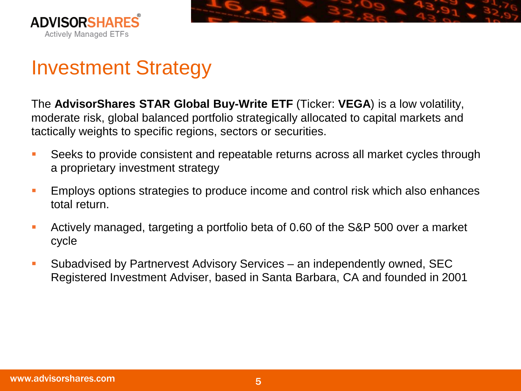



### Investment Strategy

The **AdvisorShares STAR Global Buy-Write ETF** (Ticker: **VEGA**) is a low volatility, moderate risk, global balanced portfolio strategically allocated to capital markets and tactically weights to specific regions, sectors or securities.

- Seeks to provide consistent and repeatable returns across all market cycles through a proprietary investment strategy
- **Employs options strategies to produce income and control risk which also enhances** total return.
- Actively managed, targeting a portfolio beta of 0.60 of the S&P 500 over a market cycle
- Subadvised by Partnervest Advisory Services an independently owned, SEC Registered Investment Adviser, based in Santa Barbara, CA and founded in 2001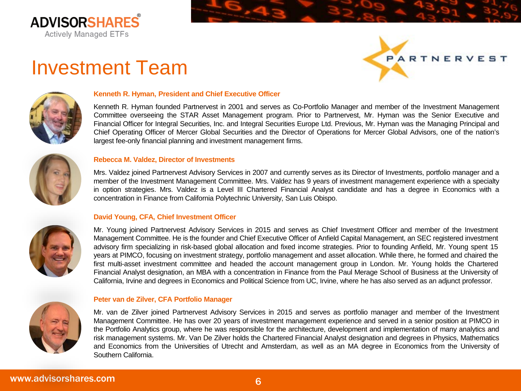

#### Investment Team





#### **Kenneth R. Hyman, President and Chief Executive Officer**

Kenneth R. Hyman founded Partnervest in 2001 and serves as Co-Portfolio Manager and member of the Investment Management Committee overseeing the STAR Asset Management program. Prior to Partnervest, Mr. Hyman was the Senior Executive and Financial Officer for Integral Securities, Inc. and Integral Securities Europe Ltd. Previous, Mr. Hyman was the Managing Principal and Chief Operating Officer of Mercer Global Securities and the Director of Operations for Mercer Global Advisors, one of the nation's largest fee-only financial planning and investment management firms.



#### **Rebecca M. Valdez, Director of Investments**

Mrs. Valdez joined Partnervest Advisory Services in 2007 and currently serves as its Director of Investments, portfolio manager and a member of the Investment Management Committee. Mrs. Valdez has 9 years of investment management experience with a specialty in option strategies. Mrs. Valdez is a Level III Chartered Financial Analyst candidate and has a degree in Economics with a concentration in Finance from California Polytechnic University, San Luis Obispo.

#### **David Young, CFA, Chief Investment Officer**



Mr. Young joined Partnervest Advisory Services in 2015 and serves as Chief Investment Officer and member of the Investment Management Committee. He is the founder and Chief Executive Officer of Anfield Capital Management, an SEC registered investment advisory firm specializing in risk-based global allocation and fixed income strategies. Prior to founding Anfield, Mr. Young spent 15 years at PIMCO, focusing on investment strategy, portfolio management and asset allocation. While there, he formed and chaired the first multi-asset investment committee and headed the account management group in London. Mr. Young holds the Chartered Financial Analyst designation, an MBA with a concentration in Finance from the Paul Merage School of Business at the University of California, Irvine and degrees in Economics and Political Science from UC, Irvine, where he has also served as an adjunct professor.

#### **Peter van de Zilver, CFA Portfolio Manager**

Mr. van de Zilver joined Partnervest Advisory Services in 2015 and serves as portfolio manager and member of the Investment Management Committee. He has over 20 years of investment management experience and served in a senior position at PIMCO in the Portfolio Analytics group, where he was responsible for the architecture, development and implementation of many analytics and risk management systems. Mr. Van De Zilver holds the Chartered Financial Analyst designation and degrees in Physics, Mathematics and Economics from the Universities of Utrecht and Amsterdam, as well as an MA degree in Economics from the University of Southern California.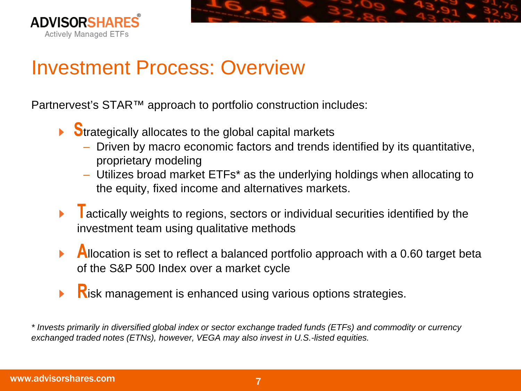



#### Investment Process: Overview

Partnervest's STAR™ approach to portfolio construction includes:

- $\triangleright$  Strategically allocates to the global capital markets
	- ‒ Driven by macro economic factors and trends identified by its quantitative, proprietary modeling
	- ‒ Utilizes broad market ETFs\* as the underlying holdings when allocating to the equity, fixed income and alternatives markets.
- $\overline{I}$  actically weights to regions, sectors or individual securities identified by the investment team using qualitative methods
- Allocation is set to reflect a balanced portfolio approach with a 0.60 target beta of the S&P 500 Index over a market cycle
- **Risk management is enhanced using various options strategies.**  $\blacktriangleright$

*\* Invests primarily in diversified global index or sector exchange traded funds (ETFs) and commodity or currency exchanged traded notes (ETNs), however, VEGA may also invest in U.S.-listed equities.*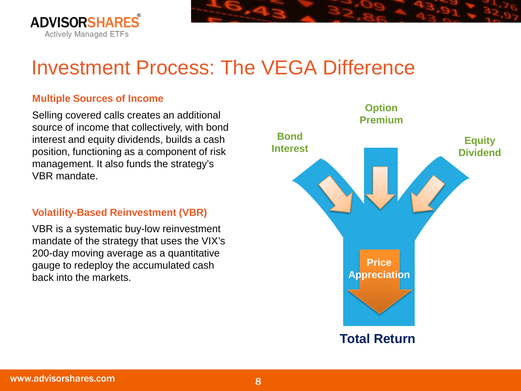

### Investment Process: The VEGA Difference

#### **Multiple Sources of Income**

Selling covered calls creates an additional source of income that collectively, with bond interest and equity dividends, builds a cash position, functioning as a component of risk management. It also funds the strategy's VBR mandate.

#### **Volatility-Based Reinvestment (VBR)**

VBR is a systematic buy-low reinvestment mandate of the strategy that uses the VIX's 200-day moving average as a quantitative gauge to redeploy the accumulated cash back into the markets.

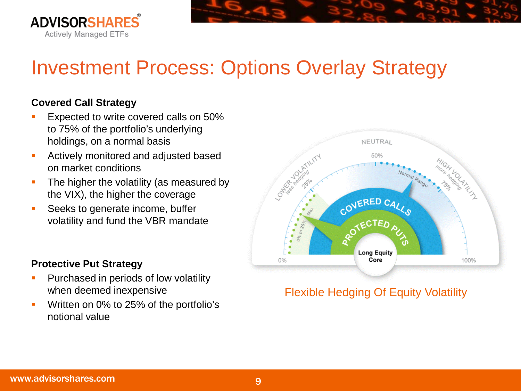

## Investment Process: Options Overlay Strategy

#### **Covered Call Strategy**

- Expected to write covered calls on 50% to 75% of the portfolio's underlying holdings, on a normal basis
- **Actively monitored and adjusted based** on market conditions
- The higher the volatility (as measured by the VIX), the higher the coverage
- **Seeks to generate income, buffer** volatility and fund the VBR mandate

#### **Protective Put Strategy**

- **Purchased in periods of low volatility** when deemed inexpensive
- **Written on 0% to 25% of the portfolio's** notional value



#### Flexible Hedging Of Equity Volatility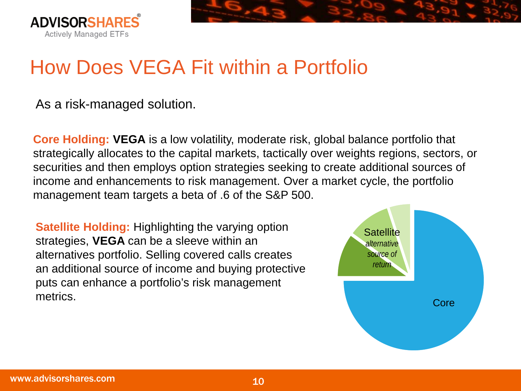

## How Does VEGA Fit within a Portfolio

As a risk-managed solution.

**Core Holding: VEGA** is a low volatility, moderate risk, global balance portfolio that strategically allocates to the capital markets, tactically over weights regions, sectors, or securities and then employs option strategies seeking to create additional sources of income and enhancements to risk management. Over a market cycle, the portfolio management team targets a beta of .6 of the S&P 500.

**Satellite Holding:** Highlighting the varying option strategies, **VEGA** can be a sleeve within an alternatives portfolio. Selling covered calls creates an additional source of income and buying protective puts can enhance a portfolio's risk management metrics.

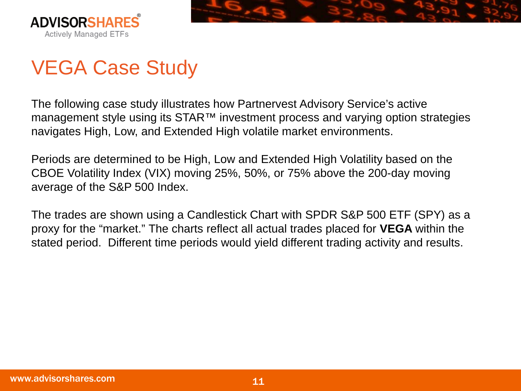



## VEGA Case Study

The following case study illustrates how Partnervest Advisory Service's active management style using its STAR<sup>™</sup> investment process and varying option strategies navigates High, Low, and Extended High volatile market environments.

Periods are determined to be High, Low and Extended High Volatility based on the CBOE Volatility Index (VIX) moving 25%, 50%, or 75% above the 200-day moving average of the S&P 500 Index.

The trades are shown using a Candlestick Chart with SPDR S&P 500 ETF (SPY) as a proxy for the "market." The charts reflect all actual trades placed for **VEGA** within the stated period. Different time periods would yield different trading activity and results.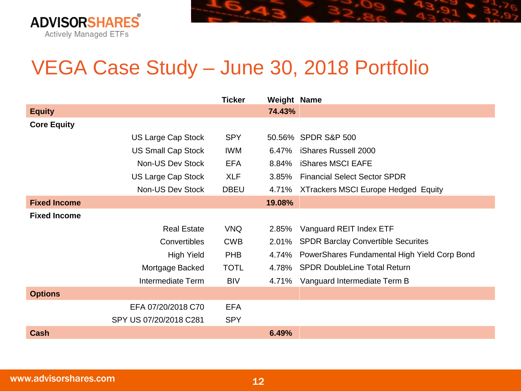

### VEGA Case Study – June 30, 2018 Portfolio

|                     |                           | <b>Ticker</b> | <b>Weight Name</b> |                                              |
|---------------------|---------------------------|---------------|--------------------|----------------------------------------------|
| <b>Equity</b>       |                           |               | 74.43%             |                                              |
| <b>Core Equity</b>  |                           |               |                    |                                              |
|                     | <b>US Large Cap Stock</b> | <b>SPY</b>    |                    | 50.56% SPDR S&P 500                          |
|                     | <b>US Small Cap Stock</b> | <b>IWM</b>    | 6.47%              | iShares Russell 2000                         |
|                     | Non-US Dev Stock          | <b>EFA</b>    | 8.84%              | <b>iShares MSCI EAFE</b>                     |
|                     | <b>US Large Cap Stock</b> | <b>XLF</b>    | 3.85%              | <b>Financial Select Sector SPDR</b>          |
|                     | Non-US Dev Stock          | <b>DBEU</b>   | 4.71%              | <b>XTrackers MSCI Europe Hedged Equity</b>   |
| <b>Fixed Income</b> |                           |               | 19.08%             |                                              |
| <b>Fixed Income</b> |                           |               |                    |                                              |
|                     | <b>Real Estate</b>        | <b>VNQ</b>    | 2.85%              | Vanguard REIT Index ETF                      |
|                     | Convertibles              | <b>CWB</b>    | 2.01%              | <b>SPDR Barclay Convertible Securites</b>    |
|                     | <b>High Yield</b>         | <b>PHB</b>    | 4.74%              | PowerShares Fundamental High Yield Corp Bond |
|                     | Mortgage Backed           | <b>TOTL</b>   | 4.78%              | <b>SPDR DoubleLine Total Return</b>          |
|                     | Intermediate Term         | <b>BIV</b>    |                    | 4.71% Vanguard Intermediate Term B           |
| <b>Options</b>      |                           |               |                    |                                              |
|                     | EFA 07/20/2018 C70        | <b>EFA</b>    |                    |                                              |
|                     | SPY US 07/20/2018 C281    | <b>SPY</b>    |                    |                                              |
| <b>Cash</b>         |                           |               | 6.49%              |                                              |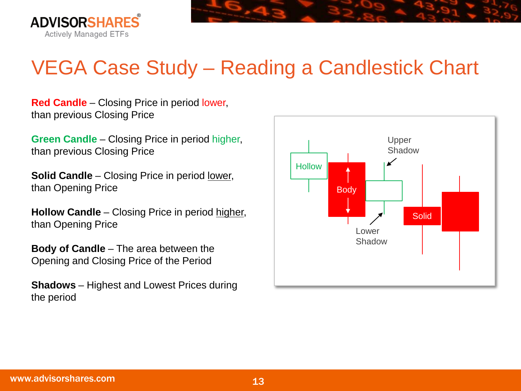



**Red Candle** – Closing Price in period lower, than previous Closing Price

**Green Candle** – Closing Price in period higher, than previous Closing Price

**Solid Candle** – Closing Price in period lower, than Opening Price

**Hollow Candle** – Closing Price in period higher, than Opening Price

**Body of Candle** – The area between the Opening and Closing Price of the Period

**Shadows** – Highest and Lowest Prices during the period

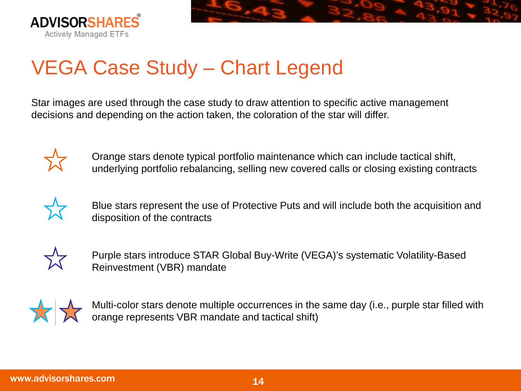



## VEGA Case Study – Chart Legend

Star images are used through the case study to draw attention to specific active management decisions and depending on the action taken, the coloration of the star will differ.



Orange stars denote typical portfolio maintenance which can include tactical shift, underlying portfolio rebalancing, selling new covered calls or closing existing contracts



Blue stars represent the use of Protective Puts and will include both the acquisition and disposition of the contracts



Purple stars introduce STAR Global Buy-Write (VEGA)'s systematic Volatility-Based Reinvestment (VBR) mandate



Multi-color stars denote multiple occurrences in the same day (i.e., purple star filled with orange represents VBR mandate and tactical shift)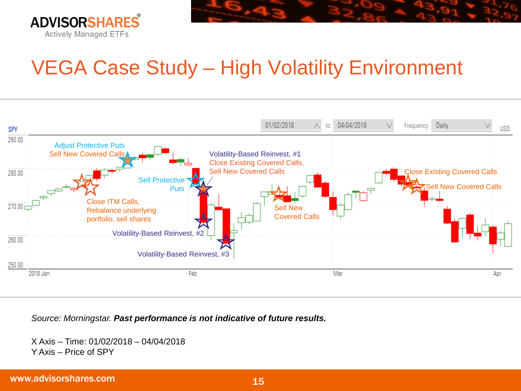

## VEGA Case Study – High Volatility Environment



*Source: Morningstar. Past performance is not indicative of future results.*

X Axis – Time: 01/02/2018 – 04/04/2018 Y Axis – Price of SPY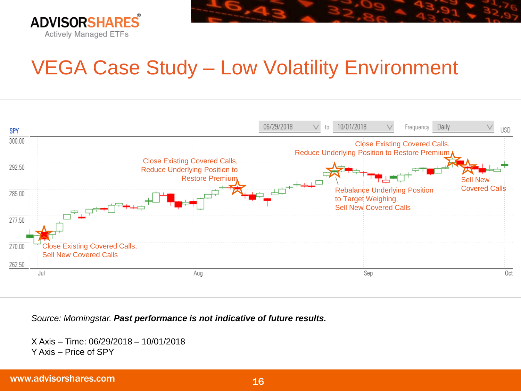

### VEGA Case Study – Low Volatility Environment



*Source: Morningstar. Past performance is not indicative of future results.*

X Axis – Time: 06/29/2018 – 10/01/2018 Y Axis – Price of SPY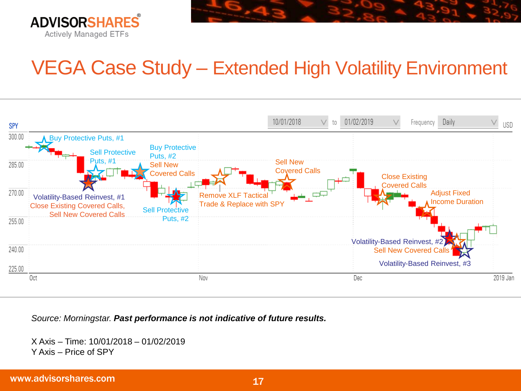

### VEGA Case Study – Extended High Volatility Environment



*Source: Morningstar. Past performance is not indicative of future results.*

X Axis – Time: 10/01/2018 – 01/02/2019 Y Axis – Price of SPY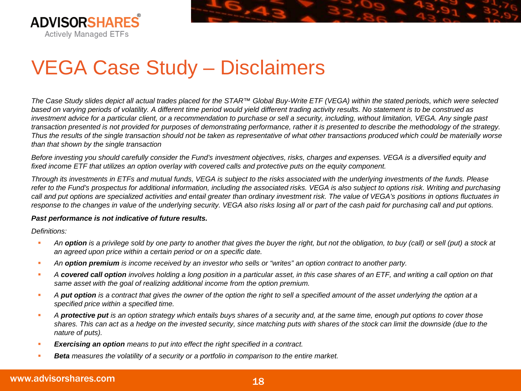



*The Case Study slides depict all actual trades placed for the STAR™ Global Buy-Write ETF (VEGA) within the stated periods, which were selected based on varying periods of volatility. A different time period would yield different trading activity results. No statement is to be construed as investment advice for a particular client, or a recommendation to purchase or sell a security, including, without limitation, VEGA. Any single past transaction presented is not provided for purposes of demonstrating performance, rather it is presented to describe the methodology of the strategy. Thus the results of the single transaction should not be taken as representative of what other transactions produced which could be materially worse than that shown by the single transaction*

*Before investing you should carefully consider the Fund's investment objectives, risks, charges and expenses. VEGA is a diversified equity and fixed income ETF that utilizes an option overlay with covered calls and protective puts on the equity component.* 

*Through its investments in ETFs and mutual funds, VEGA is subject to the risks associated with the underlying investments of the funds. Please refer to the Fund's prospectus for additional information, including the associated risks. VEGA is also subject to options risk. Writing and purchasing call and put options are specialized activities and entail greater than ordinary investment risk. The value of VEGA's positions in options fluctuates in response to the changes in value of the underlying security. VEGA also risks losing all or part of the cash paid for purchasing call and put options.* 

#### *Past performance is not indicative of future results.*

*Definitions:* 

- *An option is a privilege sold by one party to another that gives the buyer the right, but not the obligation, to buy (call) or sell (put) a stock at an agreed upon price within a certain period or on a specific date.*
- **An option premium** is income received by an investor who sells or "writes" an option contract to another party.
- *A covered call option involves holding a long position in a particular asset, in this case shares of an ETF, and writing a call option on that same asset with the goal of realizing additional income from the option premium.*
- *A put option is a contract that gives the owner of the option the right to sell a specified amount of the asset underlying the option at a specified price within a specified time.*
- *A protective put is an option strategy which entails buys shares of a security and, at the same time, enough put options to cover those shares. This can act as a hedge on the invested security, since matching puts with shares of the stock can limit the downside (due to the nature of puts).*
- *Exercising an option means to put into effect the right specified in a contract.*
- *Beta measures the volatility of a security or a portfolio in comparison to the entire market.*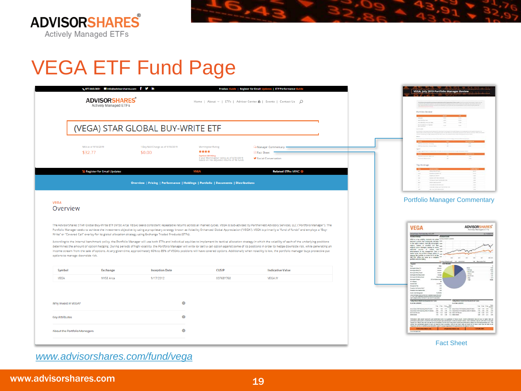



|                                                       | ₹ 877.843.3831 ainfo@advisorshares.com f V in<br><b>ADVISORSHARES</b><br>Actively Managed ETFs |                                                                                                            | <b>Product Guide   Register for Email Up</b><br>Home   About v   ETFs   Advisor Center A   Events   Contact Us △                               | ates   ETF Performance Guide                                                                                                                                                                                                                                                                                                                                                                                                                                                                                                                                                                                                                                                                                                                                                                                                                                                                                                                                                                                                                                                                                 | VEGA: July 2019 Portfolio Manager Review<br>Portfolio Review                                                                                                                                                                                                                                                                                                                                                                                                                                                   |
|-------------------------------------------------------|------------------------------------------------------------------------------------------------|------------------------------------------------------------------------------------------------------------|------------------------------------------------------------------------------------------------------------------------------------------------|--------------------------------------------------------------------------------------------------------------------------------------------------------------------------------------------------------------------------------------------------------------------------------------------------------------------------------------------------------------------------------------------------------------------------------------------------------------------------------------------------------------------------------------------------------------------------------------------------------------------------------------------------------------------------------------------------------------------------------------------------------------------------------------------------------------------------------------------------------------------------------------------------------------------------------------------------------------------------------------------------------------------------------------------------------------------------------------------------------------|----------------------------------------------------------------------------------------------------------------------------------------------------------------------------------------------------------------------------------------------------------------------------------------------------------------------------------------------------------------------------------------------------------------------------------------------------------------------------------------------------------------|
|                                                       |                                                                                                | (VEGA) STAR GLOBAL BUY-WRITE ETF                                                                           |                                                                                                                                                |                                                                                                                                                                                                                                                                                                                                                                                                                                                                                                                                                                                                                                                                                                                                                                                                                                                                                                                                                                                                                                                                                                              |                                                                                                                                                                                                                                                                                                                                                                                                                                                                                                                |
|                                                       | NAV as of 9/18/2019<br>\$32.77                                                                 | 1 Day NAV Change as of 9/18/2019<br>\$0.00                                                                 | Morningstar Rating<br>****<br><b>Option Writing</b><br>3 year Morningstar rating as of 8/31/2019<br>based on risk adjusted returns of 96 funds | <sup>Q</sup> Manager Commentary<br><b>E</b> Fact Sheet<br>Social Conversation                                                                                                                                                                                                                                                                                                                                                                                                                                                                                                                                                                                                                                                                                                                                                                                                                                                                                                                                                                                                                                | Top Holdings                                                                                                                                                                                                                                                                                                                                                                                                                                                                                                   |
|                                                       | <b>S</b> Register for Email Updates                                                            | Overview   Pricing   Performance   Holdings   Portfolio   Documents   Distributions                        | <b>VEGA</b>                                                                                                                                    | <b>Related ETFs: MINC @</b>                                                                                                                                                                                                                                                                                                                                                                                                                                                                                                                                                                                                                                                                                                                                                                                                                                                                                                                                                                                                                                                                                  |                                                                                                                                                                                                                                                                                                                                                                                                                                                                                                                |
|                                                       | options to manage downside risk.                                                               | Write" or "Covered Call" overlay for its global allocation strategy using Exchange Traded Products (ETPs). |                                                                                                                                                | The AdvisorShares STAR Global Buy-Write ETF (NYSE Arca: VEGA) seeks consistent repeatable returns across all market cycles. VEGA is sub-advised by Partnervest Advisory Services, LLC ("Portfolio Manager"). The<br>Portfolio Manager seeks to achieve the investment objective by using a proprietary strategy known as Volatility Enhanced Global Appreciation ("VEGA"). VEGA is primarily a "fund of funds" and employs a "Buy-<br>According to the internal benchmark policy, the Portfolio Manager will use both ETFs and individual equities to implement its tactical allocation strategy in which the volatility of each of the underlying positions<br>determines the amount of option hedging. During periods of high volatility, the Portfolio Manager will write (or sell) a call option against some of its positions in order to hedge downside risk, while generating an<br>income stream from the sale of options. At any given time, approximately 60% to 85% of VEGA's positions will have covered options. Additionally when volatility is low, the portfolio manager buys protective put | <b>ADVISORSHARES</b><br><b>VEGA</b><br>Managed ETFs<br><b>Mark Wallers Co. 200</b><br><b>ALL A SECTION</b><br>1955 is a low unletting recounts not good for his<br>between portfolio that strategically allocates more<br>becomes particle fluid about<br>particle and containing the state of the sequence contains a sequence of<br>$\sim 10^{-1}$ fluid about the sequence of the sequence of<br>the state and contains a sequence of the sequence of the sequenc                                           |
| Symbol                                                | <b>Exchange</b>                                                                                | <b>Inception Date</b>                                                                                      | <b>CUSIP</b>                                                                                                                                   | <b>Indicative Value</b>                                                                                                                                                                                                                                                                                                                                                                                                                                                                                                                                                                                                                                                                                                                                                                                                                                                                                                                                                                                                                                                                                      | partials and som hindrig<br>$\overline{ }$<br>Mengin length<br>Merkane Nava Em<br>                                                                                                                                                                                                                                                                                                                                                                                                                             |
| <b>VEGA</b>                                           | <b>NYSE Arca</b>                                                                               | 9/17/2012                                                                                                  | 00768Y768                                                                                                                                      | VEGA.IV                                                                                                                                                                                                                                                                                                                                                                                                                                                                                                                                                                                                                                                                                                                                                                                                                                                                                                                                                                                                                                                                                                      | 122222<br>$\begin{tabular}{ c c } \hline 155 \\ \hline 255 \\ \hline 355 \\ \hline \end{tabular}$<br><b>Stevenske Teles Trand</b><br><br><b>Managea has hang been</b><br><b>Auto</b><br>$\sim$<br><b>Alertame Server</b><br># Happy<br><b>FERRITA SAW</b><br><b>VISH</b><br><b>Malaysi To</b>                                                                                                                                                                                                                  |
| Why Invest in VEGA?                                   |                                                                                                | $\bullet$                                                                                                  |                                                                                                                                                |                                                                                                                                                                                                                                                                                                                                                                                                                                                                                                                                                                                                                                                                                                                                                                                                                                                                                                                                                                                                                                                                                                              | <b>Piecello be faireach</b><br>Pazadio Sto Seina No<br><b>Line Line General</b><br><b>Acked</b><br><b>CARACTERISTIC</b><br><b>Carl Service</b><br>Autom china<br><b><i>AL-AT THEN</i></b> & FRUTERS<br>to the the little<br>The State City<br>49 20 49 40<br>Mill comme use<br>$+ +$<br><b>DO MAILLINE MELL</b>                                                                                                                                                                                                |
| <b>Key Attributes</b><br>About the Portfolio Managers |                                                                                                | $\bullet$<br>Θ                                                                                             |                                                                                                                                                |                                                                                                                                                                                                                                                                                                                                                                                                                                                                                                                                                                                                                                                                                                                                                                                                                                                                                                                                                                                                                                                                                                              | <b>Saltan bend</b><br>415 121 236 112 Detectment<br>8.0 3.1 1/2 3.1<br>Networking that during experience part posteroing and 3 or planning of Amaz projet. Covert preference was as down of Alpha Hall the<br>player cost determ any then are year are not procedured. The the Sandy mean strengt and performance prisone was a<br>whiley has committed agreed to late out concentra their currency (UPA at the Just) and any month by at more a year than the anal at en<br><b>UP IS JEWAN IMAGEMENT FUTA</b> |
|                                                       |                                                                                                |                                                                                                            |                                                                                                                                                |                                                                                                                                                                                                                                                                                                                                                                                                                                                                                                                                                                                                                                                                                                                                                                                                                                                                                                                                                                                                                                                                                                              | <b>Fact Sheet</b>                                                                                                                                                                                                                                                                                                                                                                                                                                                                                              |

*[www.advisorshares.com/fund/vega](http://www.advisorshares.com/fund/vega)*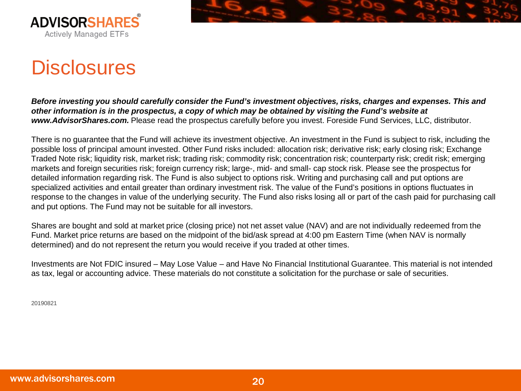



### **Disclosures**

*Before investing you should carefully consider the Fund's investment objectives, risks, charges and expenses. This and other information is in the prospectus, a copy of which may be obtained by visiting the Fund's website at www.AdvisorShares.com.* Please read the prospectus carefully before you invest. Foreside Fund Services, LLC, distributor.

There is no guarantee that the Fund will achieve its investment objective. An investment in the Fund is subject to risk, including the possible loss of principal amount invested. Other Fund risks included: allocation risk; derivative risk; early closing risk; Exchange Traded Note risk; liquidity risk, market risk; trading risk; commodity risk; concentration risk; counterparty risk; credit risk; emerging markets and foreign securities risk; foreign currency risk; large-, mid- and small- cap stock risk. Please see the prospectus for detailed information regarding risk. The Fund is also subject to options risk. Writing and purchasing call and put options are specialized activities and entail greater than ordinary investment risk. The value of the Fund's positions in options fluctuates in response to the changes in value of the underlying security. The Fund also risks losing all or part of the cash paid for purchasing call and put options. The Fund may not be suitable for all investors.

Shares are bought and sold at market price (closing price) not net asset value (NAV) and are not individually redeemed from the Fund. Market price returns are based on the midpoint of the bid/ask spread at 4:00 pm Eastern Time (when NAV is normally determined) and do not represent the return you would receive if you traded at other times.

Investments are Not FDIC insured – May Lose Value – and Have No Financial Institutional Guarantee. This material is not intended as tax, legal or accounting advice. These materials do not constitute a solicitation for the purchase or sale of securities.

20190821